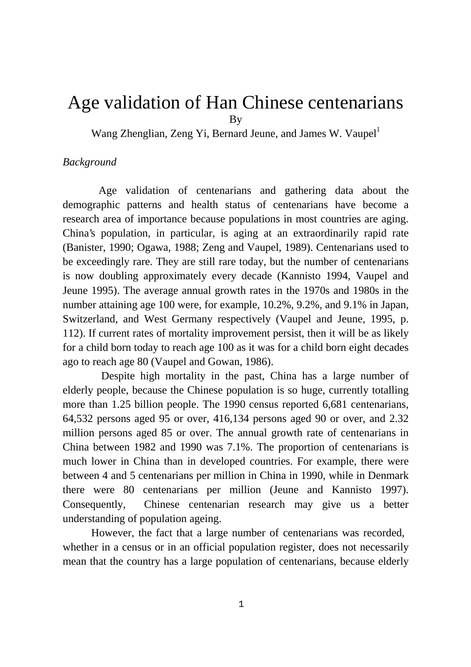# Age validation of Han Chinese centenarians By

Wang Zhenglian, Zeng Yi, Bernard Jeune, and James W. Vaupel<sup>1</sup>

# *Background*

 Age validation of centenarians and gathering data about the demographic patterns and health status of centenarians have become a research area of importance because populations in most countries are aging. China's population, in particular, is aging at an extraordinarily rapid rate (Banister, 1990; Ogawa, 1988; Zeng and Vaupel, 1989). Centenarians used to be exceedingly rare. They are still rare today, but the number of centenarians is now doubling approximately every decade (Kannisto 1994, Vaupel and Jeune 1995). The average annual growth rates in the 1970s and 1980s in the number attaining age 100 were, for example, 10.2%, 9.2%, and 9.1% in Japan, Switzerland, and West Germany respectively (Vaupel and Jeune, 1995, p. 112). If current rates of mortality improvement persist, then it will be as likely for a child born today to reach age 100 as it was for a child born eight decades ago to reach age 80 (Vaupel and Gowan, 1986).

 Despite high mortality in the past, China has a large number of elderly people, because the Chinese population is so huge, currently totalling more than 1.25 billion people. The 1990 census reported 6,681 centenarians, 64,532 persons aged 95 or over, 416,134 persons aged 90 or over, and 2.32 million persons aged 85 or over. The annual growth rate of centenarians in China between 1982 and 1990 was 7.1%. The proportion of centenarians is much lower in China than in developed countries. For example, there were between 4 and 5 centenarians per million in China in 1990, while in Denmark there were 80 centenarians per million (Jeune and Kannisto 1997). Consequently, Chinese centenarian research may give us a better understanding of population ageing.

However, the fact that a large number of centenarians was recorded, whether in a census or in an official population register, does not necessarily mean that the country has a large population of centenarians, because elderly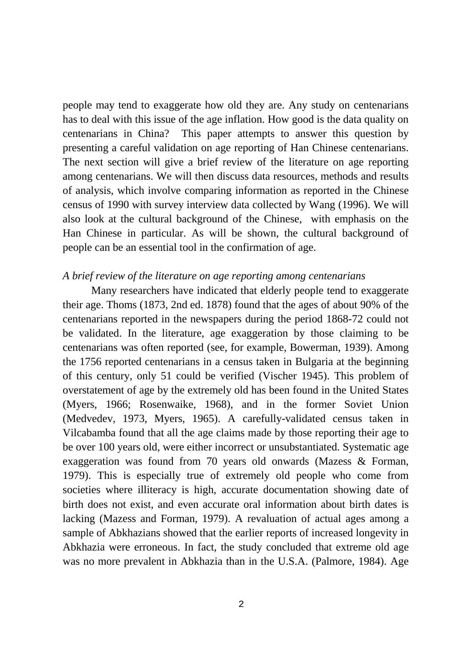people may tend to exaggerate how old they are. Any study on centenarians has to deal with this issue of the age inflation. How good is the data quality on centenarians in China? This paper attempts to answer this question by presenting a careful validation on age reporting of Han Chinese centenarians. The next section will give a brief review of the literature on age reporting among centenarians. We will then discuss data resources, methods and results of analysis, which involve comparing information as reported in the Chinese census of 1990 with survey interview data collected by Wang (1996). We will also look at the cultural background of the Chinese, with emphasis on the Han Chinese in particular. As will be shown, the cultural background of people can be an essential tool in the confirmation of age.

#### *A brief review of the literature on age reporting among centenarians*

Many researchers have indicated that elderly people tend to exaggerate their age. Thoms (1873, 2nd ed. 1878) found that the ages of about 90% of the centenarians reported in the newspapers during the period 1868-72 could not be validated. In the literature, age exaggeration by those claiming to be centenarians was often reported (see, for example, Bowerman, 1939). Among the 1756 reported centenarians in a census taken in Bulgaria at the beginning of this century, only 51 could be verified (Vischer 1945). This problem of overstatement of age by the extremely old has been found in the United States (Myers, 1966; Rosenwaike, 1968), and in the former Soviet Union (Medvedev, 1973, Myers, 1965). A carefully-validated census taken in Vilcabamba found that all the age claims made by those reporting their age to be over 100 years old, were either incorrect or unsubstantiated. Systematic age exaggeration was found from 70 years old onwards (Mazess & Forman, 1979). This is especially true of extremely old people who come from societies where illiteracy is high, accurate documentation showing date of birth does not exist, and even accurate oral information about birth dates is lacking (Mazess and Forman, 1979). A revaluation of actual ages among a sample of Abkhazians showed that the earlier reports of increased longevity in Abkhazia were erroneous. In fact, the study concluded that extreme old age was no more prevalent in Abkhazia than in the U.S.A. (Palmore, 1984). Age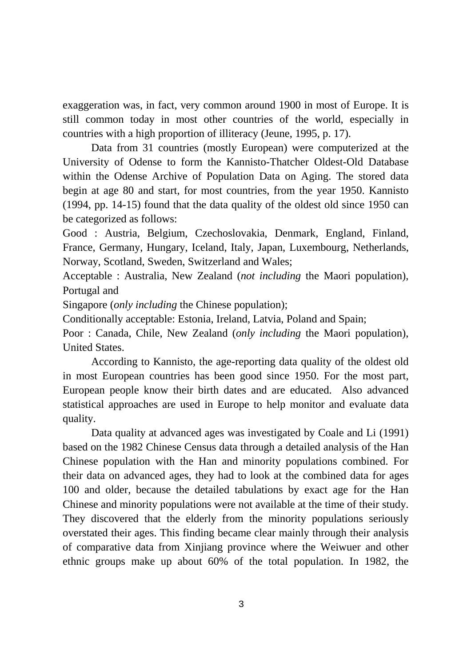exaggeration was, in fact, very common around 1900 in most of Europe. It is still common today in most other countries of the world, especially in countries with a high proportion of illiteracy (Jeune, 1995, p. 17).

 Data from 31 countries (mostly European) were computerized at the University of Odense to form the Kannisto-Thatcher Oldest-Old Database within the Odense Archive of Population Data on Aging. The stored data begin at age 80 and start, for most countries, from the year 1950. Kannisto (1994, pp. 14-15) found that the data quality of the oldest old since 1950 can be categorized as follows:

Good : Austria, Belgium, Czechoslovakia, Denmark, England, Finland, France, Germany, Hungary, Iceland, Italy, Japan, Luxembourg, Netherlands, Norway, Scotland, Sweden, Switzerland and Wales;

Acceptable : Australia, New Zealand (*not including* the Maori population), Portugal and

Singapore (*only including* the Chinese population);

Conditionally acceptable: Estonia, Ireland, Latvia, Poland and Spain;

Poor : Canada, Chile, New Zealand (*only including* the Maori population), United States.

According to Kannisto, the age-reporting data quality of the oldest old in most European countries has been good since 1950. For the most part, European people know their birth dates and are educated. Also advanced statistical approaches are used in Europe to help monitor and evaluate data quality.

Data quality at advanced ages was investigated by Coale and Li (1991) based on the 1982 Chinese Census data through a detailed analysis of the Han Chinese population with the Han and minority populations combined. For their data on advanced ages, they had to look at the combined data for ages 100 and older, because the detailed tabulations by exact age for the Han Chinese and minority populations were not available at the time of their study. They discovered that the elderly from the minority populations seriously overstated their ages. This finding became clear mainly through their analysis of comparative data from Xinjiang province where the Weiwuer and other ethnic groups make up about 60% of the total population. In 1982, the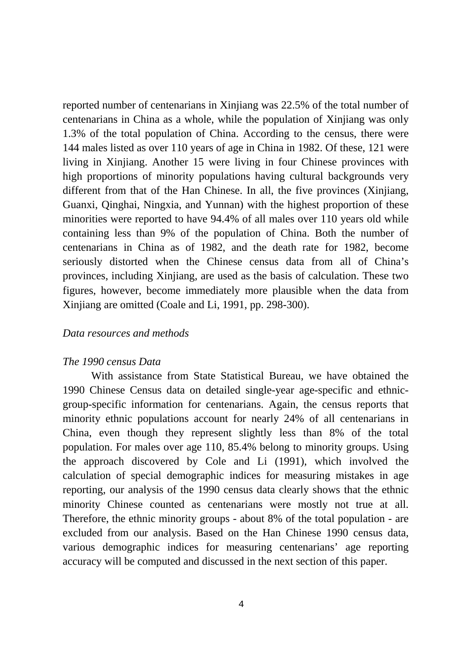reported number of centenarians in Xinjiang was 22.5% of the total number of centenarians in China as a whole, while the population of Xinjiang was only 1.3% of the total population of China. According to the census, there were 144 males listed as over 110 years of age in China in 1982. Of these, 121 were living in Xinjiang. Another 15 were living in four Chinese provinces with high proportions of minority populations having cultural backgrounds very different from that of the Han Chinese. In all, the five provinces (Xinjiang, Guanxi, Qinghai, Ningxia, and Yunnan) with the highest proportion of these minorities were reported to have 94.4% of all males over 110 years old while containing less than 9% of the population of China. Both the number of centenarians in China as of 1982, and the death rate for 1982, become seriously distorted when the Chinese census data from all of China's provinces, including Xinjiang, are used as the basis of calculation. These two figures, however, become immediately more plausible when the data from Xinjiang are omitted (Coale and Li, 1991, pp. 298-300).

# *Data resources and methods*

# *The 1990 census Data*

With assistance from State Statistical Bureau, we have obtained the 1990 Chinese Census data on detailed single-year age-specific and ethnicgroup-specific information for centenarians. Again, the census reports that minority ethnic populations account for nearly 24% of all centenarians in China, even though they represent slightly less than 8% of the total population. For males over age 110, 85.4% belong to minority groups. Using the approach discovered by Cole and Li (1991), which involved the calculation of special demographic indices for measuring mistakes in age reporting, our analysis of the 1990 census data clearly shows that the ethnic minority Chinese counted as centenarians were mostly not true at all. Therefore, the ethnic minority groups - about 8% of the total population - are excluded from our analysis. Based on the Han Chinese 1990 census data, various demographic indices for measuring centenarians' age reporting accuracy will be computed and discussed in the next section of this paper.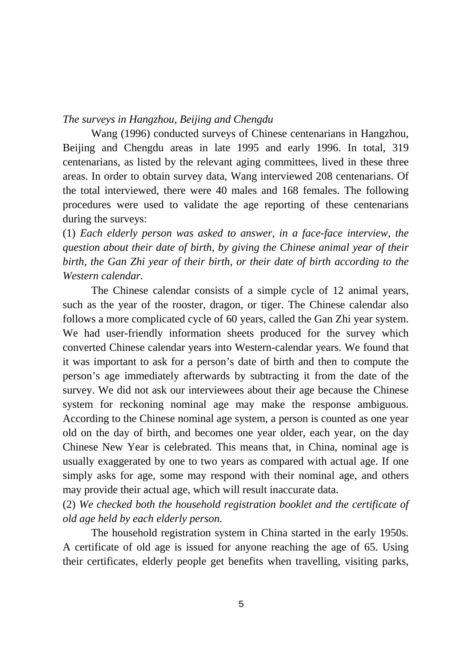# *The surveys in Hangzhou, Beijing and Chengdu*

Wang (1996) conducted surveys of Chinese centenarians in Hangzhou, Beijing and Chengdu areas in late 1995 and early 1996. In total, 319 centenarians, as listed by the relevant aging committees, lived in these three areas. In order to obtain survey data, Wang interviewed 208 centenarians. Of the total interviewed, there were 40 males and 168 females. The following procedures were used to validate the age reporting of these centenarians during the surveys:

(1) *Each elderly person was asked to answer, in a face-face interview, the question about their date of birth, by giving the Chinese animal year of their birth, the Gan Zhi year of their birth, or their date of birth according to the Western calendar.*

The Chinese calendar consists of a simple cycle of 12 animal years, such as the year of the rooster, dragon, or tiger. The Chinese calendar also follows a more complicated cycle of 60 years, called the Gan Zhi year system. We had user-friendly information sheets produced for the survey which converted Chinese calendar years into Western-calendar years. We found that it was important to ask for a person's date of birth and then to compute the person's age immediately afterwards by subtracting it from the date of the survey. We did not ask our interviewees about their age because the Chinese system for reckoning nominal age may make the response ambiguous. According to the Chinese nominal age system, a person is counted as one year old on the day of birth, and becomes one year older, each year, on the day Chinese New Year is celebrated. This means that, in China, nominal age is usually exaggerated by one to two years as compared with actual age. If one simply asks for age, some may respond with their nominal age, and others may provide their actual age, which will result inaccurate data.

(2) *We checked both the household registration booklet and the certificate of old age held by each elderly person.*

The household registration system in China started in the early 1950s. A certificate of old age is issued for anyone reaching the age of 65. Using their certificates, elderly people get benefits when travelling, visiting parks,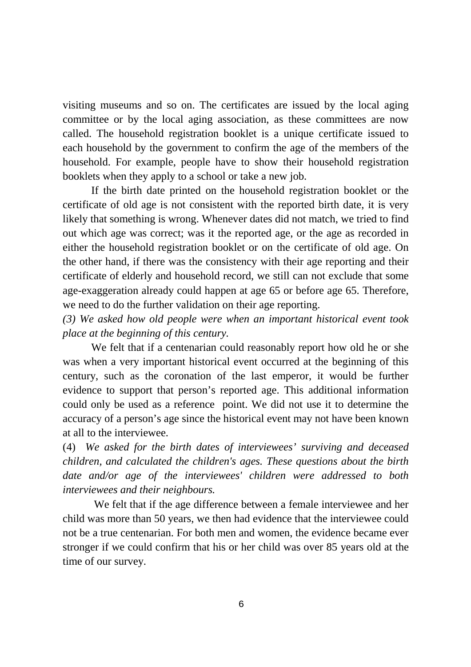visiting museums and so on. The certificates are issued by the local aging committee or by the local aging association, as these committees are now called. The household registration booklet is a unique certificate issued to each household by the government to confirm the age of the members of the household. For example, people have to show their household registration booklets when they apply to a school or take a new job.

If the birth date printed on the household registration booklet or the certificate of old age is not consistent with the reported birth date, it is very likely that something is wrong. Whenever dates did not match, we tried to find out which age was correct; was it the reported age, or the age as recorded in either the household registration booklet or on the certificate of old age. On the other hand, if there was the consistency with their age reporting and their certificate of elderly and household record, we still can not exclude that some age-exaggeration already could happen at age 65 or before age 65. Therefore, we need to do the further validation on their age reporting.

*(3) We asked how old people were when an important historical event took place at the beginning of this century.*

We felt that if a centenarian could reasonably report how old he or she was when a very important historical event occurred at the beginning of this century, such as the coronation of the last emperor, it would be further evidence to support that person's reported age. This additional information could only be used as a reference point. We did not use it to determine the accuracy of a person's age since the historical event may not have been known at all to the interviewee.

(4) *We asked for the birth dates of interviewees' surviving and deceased children, and calculated the children's ages. These questions about the birth date and/or age of the interviewees' children were addressed to both interviewees and their neighbours.*

 We felt that if the age difference between a female interviewee and her child was more than 50 years, we then had evidence that the interviewee could not be a true centenarian. For both men and women, the evidence became ever stronger if we could confirm that his or her child was over 85 years old at the time of our survey.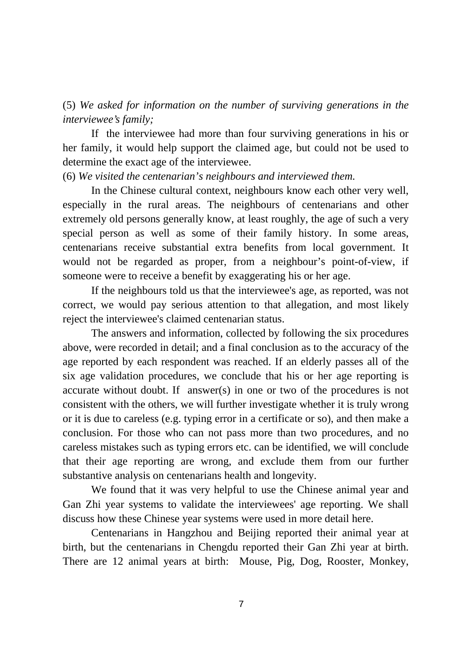(5) *We asked for information on the number of surviving generations in the interviewee's family;*

If the interviewee had more than four surviving generations in his or her family, it would help support the claimed age, but could not be used to determine the exact age of the interviewee.

# (6) *We visited the centenarian's neighbours and interviewed them.*

In the Chinese cultural context, neighbours know each other very well, especially in the rural areas. The neighbours of centenarians and other extremely old persons generally know, at least roughly, the age of such a very special person as well as some of their family history. In some areas, centenarians receive substantial extra benefits from local government. It would not be regarded as proper, from a neighbour's point-of-view, if someone were to receive a benefit by exaggerating his or her age.

If the neighbours told us that the interviewee's age, as reported, was not correct, we would pay serious attention to that allegation, and most likely reject the interviewee's claimed centenarian status.

The answers and information, collected by following the six procedures above, were recorded in detail; and a final conclusion as to the accuracy of the age reported by each respondent was reached. If an elderly passes all of the six age validation procedures, we conclude that his or her age reporting is accurate without doubt. If answer(s) in one or two of the procedures is not consistent with the others, we will further investigate whether it is truly wrong or it is due to careless (e.g. typing error in a certificate or so), and then make a conclusion. For those who can not pass more than two procedures, and no careless mistakes such as typing errors etc. can be identified, we will conclude that their age reporting are wrong, and exclude them from our further substantive analysis on centenarians health and longevity.

We found that it was very helpful to use the Chinese animal year and Gan Zhi year systems to validate the interviewees' age reporting. We shall discuss how these Chinese year systems were used in more detail here.

Centenarians in Hangzhou and Beijing reported their animal year at birth, but the centenarians in Chengdu reported their Gan Zhi year at birth. There are 12 animal years at birth: Mouse, Pig, Dog, Rooster, Monkey,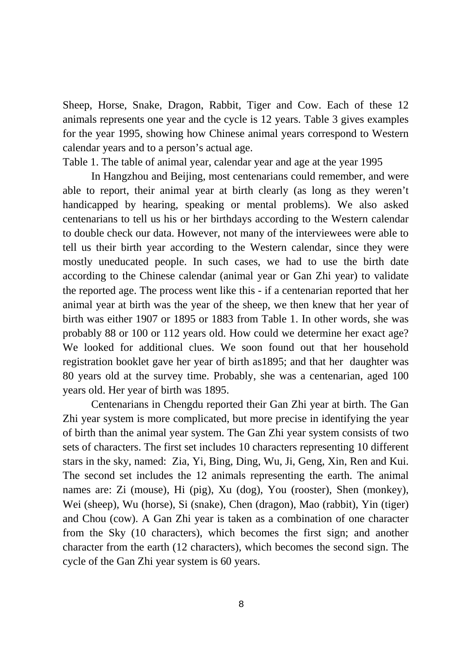Sheep, Horse, Snake, Dragon, Rabbit, Tiger and Cow. Each of these 12 animals represents one year and the cycle is 12 years. Table 3 gives examples for the year 1995, showing how Chinese animal years correspond to Western calendar years and to a person's actual age.

Table 1. The table of animal year, calendar year and age at the year 1995

In Hangzhou and Beijing, most centenarians could remember, and were able to report, their animal year at birth clearly (as long as they weren't handicapped by hearing, speaking or mental problems). We also asked centenarians to tell us his or her birthdays according to the Western calendar to double check our data. However, not many of the interviewees were able to tell us their birth year according to the Western calendar, since they were mostly uneducated people. In such cases, we had to use the birth date according to the Chinese calendar (animal year or Gan Zhi year) to validate the reported age. The process went like this - if a centenarian reported that her animal year at birth was the year of the sheep, we then knew that her year of birth was either 1907 or 1895 or 1883 from Table 1. In other words, she was probably 88 or 100 or 112 years old. How could we determine her exact age? We looked for additional clues. We soon found out that her household registration booklet gave her year of birth as1895; and that her daughter was 80 years old at the survey time. Probably, she was a centenarian, aged 100 years old. Her year of birth was 1895.

Centenarians in Chengdu reported their Gan Zhi year at birth. The Gan Zhi year system is more complicated, but more precise in identifying the year of birth than the animal year system. The Gan Zhi year system consists of two sets of characters. The first set includes 10 characters representing 10 different stars in the sky, named: Zia, Yi, Bing, Ding, Wu, Ji, Geng, Xin, Ren and Kui. The second set includes the 12 animals representing the earth. The animal names are: Zi (mouse), Hi (pig), Xu (dog), You (rooster), Shen (monkey), Wei (sheep), Wu (horse), Si (snake), Chen (dragon), Mao (rabbit), Yin (tiger) and Chou (cow). A Gan Zhi year is taken as a combination of one character from the Sky (10 characters), which becomes the first sign; and another character from the earth (12 characters), which becomes the second sign. The cycle of the Gan Zhi year system is 60 years.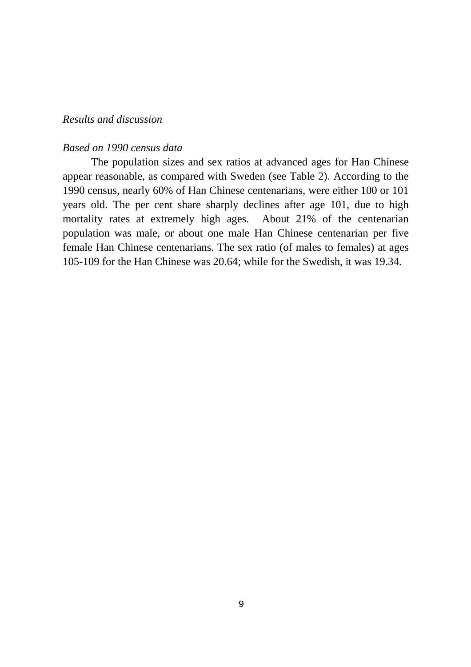# *Results and discussion*

# *Based on 1990 census data*

The population sizes and sex ratios at advanced ages for Han Chinese appear reasonable, as compared with Sweden (see Table 2). According to the 1990 census, nearly 60% of Han Chinese centenarians, were either 100 or 101 years old. The per cent share sharply declines after age 101, due to high mortality rates at extremely high ages. About 21% of the centenarian population was male, or about one male Han Chinese centenarian per five female Han Chinese centenarians. The sex ratio (of males to females) at ages 105-109 for the Han Chinese was 20.64; while for the Swedish, it was 19.34.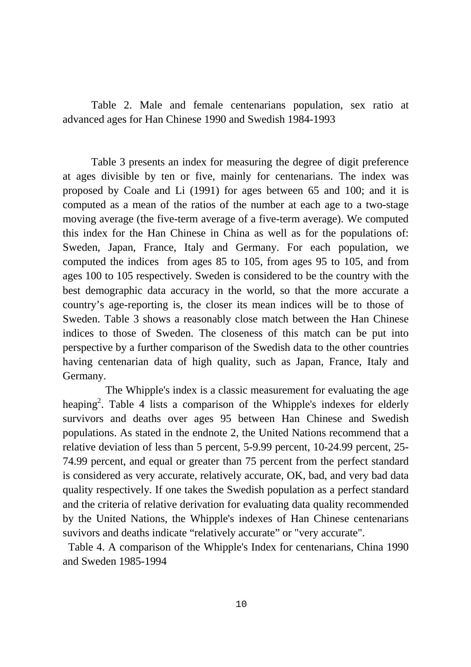Table 2. Male and female centenarians population, sex ratio at advanced ages for Han Chinese 1990 and Swedish 1984-1993

Table 3 presents an index for measuring the degree of digit preference at ages divisible by ten or five, mainly for centenarians. The index was proposed by Coale and Li (1991) for ages between 65 and 100; and it is computed as a mean of the ratios of the number at each age to a two-stage moving average (the five-term average of a five-term average). We computed this index for the Han Chinese in China as well as for the populations of: Sweden, Japan, France, Italy and Germany. For each population, we computed the indices from ages 85 to 105, from ages 95 to 105, and from ages 100 to 105 respectively. Sweden is considered to be the country with the best demographic data accuracy in the world, so that the more accurate a country's age-reporting is, the closer its mean indices will be to those of Sweden. Table 3 shows a reasonably close match between the Han Chinese indices to those of Sweden. The closeness of this match can be put into perspective by a further comparison of the Swedish data to the other countries having centenarian data of high quality, such as Japan, France, Italy and Germany.

The Whipple's index is a classic measurement for evaluating the age heaping<sup>2</sup>. Table 4 lists a comparison of the Whipple's indexes for elderly survivors and deaths over ages 95 between Han Chinese and Swedish populations. As stated in the endnote 2, the United Nations recommend that a relative deviation of less than 5 percent, 5-9.99 percent, 10-24.99 percent, 25- 74.99 percent, and equal or greater than 75 percent from the perfect standard is considered as very accurate, relatively accurate, OK, bad, and very bad data quality respectively. If one takes the Swedish population as a perfect standard and the criteria of relative derivation for evaluating data quality recommended by the United Nations, the Whipple's indexes of Han Chinese centenarians suvivors and deaths indicate "relatively accurate" or "very accurate".

 Table 4. A comparison of the Whipple's Index for centenarians, China 1990 and Sweden 1985-1994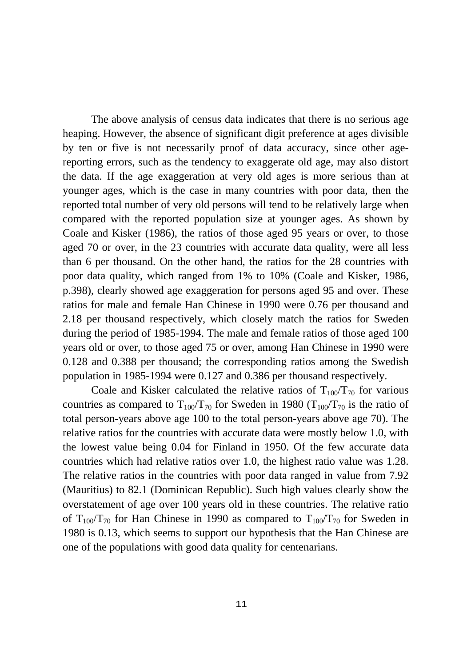The above analysis of census data indicates that there is no serious age heaping. However, the absence of significant digit preference at ages divisible by ten or five is not necessarily proof of data accuracy, since other agereporting errors, such as the tendency to exaggerate old age, may also distort the data. If the age exaggeration at very old ages is more serious than at younger ages, which is the case in many countries with poor data, then the reported total number of very old persons will tend to be relatively large when compared with the reported population size at younger ages. As shown by Coale and Kisker (1986), the ratios of those aged 95 years or over, to those aged 70 or over, in the 23 countries with accurate data quality, were all less than 6 per thousand. On the other hand, the ratios for the 28 countries with poor data quality, which ranged from 1% to 10% (Coale and Kisker, 1986, p.398), clearly showed age exaggeration for persons aged 95 and over. These ratios for male and female Han Chinese in 1990 were 0.76 per thousand and 2.18 per thousand respectively, which closely match the ratios for Sweden during the period of 1985-1994. The male and female ratios of those aged 100 years old or over, to those aged 75 or over, among Han Chinese in 1990 were 0.128 and 0.388 per thousand; the corresponding ratios among the Swedish population in 1985-1994 were 0.127 and 0.386 per thousand respectively.

Coale and Kisker calculated the relative ratios of  $T_{100}/T_{70}$  for various countries as compared to  $T_{100}/T_{70}$  for Sweden in 1980 ( $T_{100}/T_{70}$  is the ratio of total person-years above age 100 to the total person-years above age 70). The relative ratios for the countries with accurate data were mostly below 1.0, with the lowest value being 0.04 for Finland in 1950. Of the few accurate data countries which had relative ratios over 1.0, the highest ratio value was 1.28. The relative ratios in the countries with poor data ranged in value from 7.92 (Mauritius) to 82.1 (Dominican Republic). Such high values clearly show the overstatement of age over 100 years old in these countries. The relative ratio of  $T_{100}/T_{70}$  for Han Chinese in 1990 as compared to  $T_{100}/T_{70}$  for Sweden in 1980 is 0.13, which seems to support our hypothesis that the Han Chinese are one of the populations with good data quality for centenarians.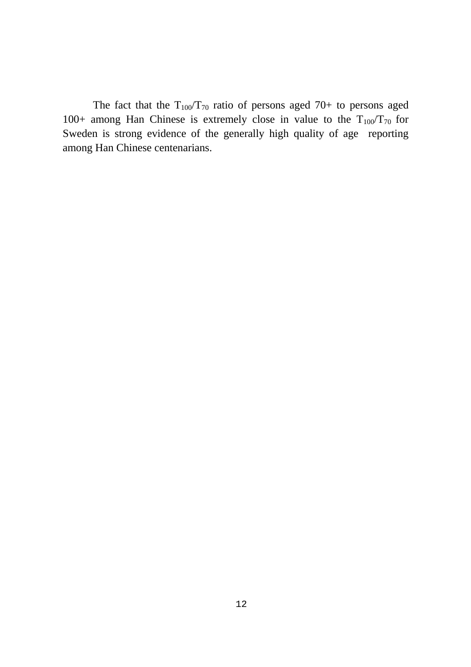The fact that the  $T_{100}/T_{70}$  ratio of persons aged 70+ to persons aged 100+ among Han Chinese is extremely close in value to the  $T_{100}/T_{70}$  for Sweden is strong evidence of the generally high quality of age reporting among Han Chinese centenarians.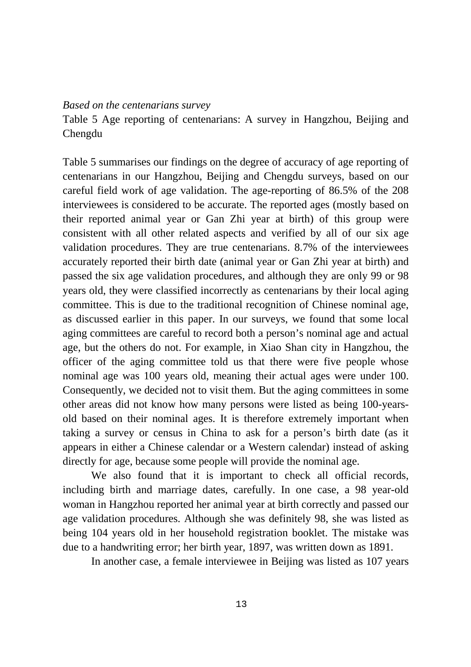#### *Based on the centenarians survey*

Table 5 Age reporting of centenarians: A survey in Hangzhou, Beijing and Chengdu

Table 5 summarises our findings on the degree of accuracy of age reporting of centenarians in our Hangzhou, Beijing and Chengdu surveys, based on our careful field work of age validation. The age-reporting of 86.5% of the 208 interviewees is considered to be accurate. The reported ages (mostly based on their reported animal year or Gan Zhi year at birth) of this group were consistent with all other related aspects and verified by all of our six age validation procedures. They are true centenarians. 8.7% of the interviewees accurately reported their birth date (animal year or Gan Zhi year at birth) and passed the six age validation procedures, and although they are only 99 or 98 years old, they were classified incorrectly as centenarians by their local aging committee. This is due to the traditional recognition of Chinese nominal age, as discussed earlier in this paper. In our surveys, we found that some local aging committees are careful to record both a person's nominal age and actual age, but the others do not. For example, in Xiao Shan city in Hangzhou, the officer of the aging committee told us that there were five people whose nominal age was 100 years old, meaning their actual ages were under 100. Consequently, we decided not to visit them. But the aging committees in some other areas did not know how many persons were listed as being 100-yearsold based on their nominal ages. It is therefore extremely important when taking a survey or census in China to ask for a person's birth date (as it appears in either a Chinese calendar or a Western calendar) instead of asking directly for age, because some people will provide the nominal age.

We also found that it is important to check all official records, including birth and marriage dates, carefully. In one case, a 98 year-old woman in Hangzhou reported her animal year at birth correctly and passed our age validation procedures. Although she was definitely 98, she was listed as being 104 years old in her household registration booklet. The mistake was due to a handwriting error; her birth year, 1897, was written down as 1891.

In another case, a female interviewee in Beijing was listed as 107 years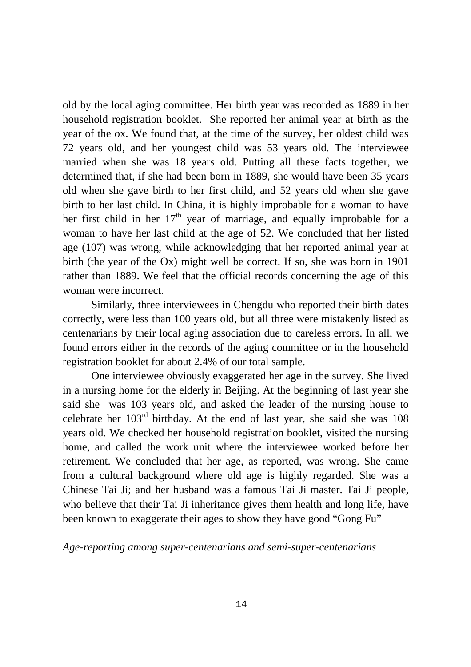old by the local aging committee. Her birth year was recorded as 1889 in her household registration booklet. She reported her animal year at birth as the year of the ox. We found that, at the time of the survey, her oldest child was 72 years old, and her youngest child was 53 years old. The interviewee married when she was 18 years old. Putting all these facts together, we determined that, if she had been born in 1889, she would have been 35 years old when she gave birth to her first child, and 52 years old when she gave birth to her last child. In China, it is highly improbable for a woman to have her first child in her  $17<sup>th</sup>$  year of marriage, and equally improbable for a woman to have her last child at the age of 52. We concluded that her listed age (107) was wrong, while acknowledging that her reported animal year at birth (the year of the Ox) might well be correct. If so, she was born in 1901 rather than 1889. We feel that the official records concerning the age of this woman were incorrect.

Similarly, three interviewees in Chengdu who reported their birth dates correctly, were less than 100 years old, but all three were mistakenly listed as centenarians by their local aging association due to careless errors. In all, we found errors either in the records of the aging committee or in the household registration booklet for about 2.4% of our total sample.

One interviewee obviously exaggerated her age in the survey. She lived in a nursing home for the elderly in Beijing. At the beginning of last year she said she was 103 years old, and asked the leader of the nursing house to celebrate her 103rd birthday. At the end of last year, she said she was 108 years old. We checked her household registration booklet, visited the nursing home, and called the work unit where the interviewee worked before her retirement. We concluded that her age, as reported, was wrong. She came from a cultural background where old age is highly regarded. She was a Chinese Tai Ji; and her husband was a famous Tai Ji master. Tai Ji people, who believe that their Tai Ji inheritance gives them health and long life, have been known to exaggerate their ages to show they have good "Gong Fu"

*Age-reporting among super-centenarians and semi-super-centenarians*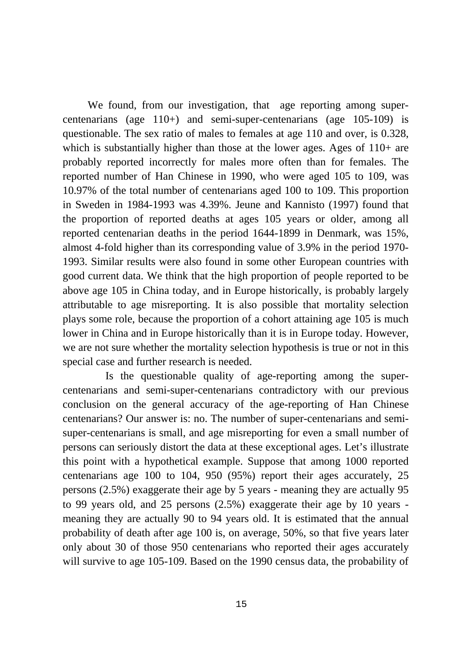We found, from our investigation, that age reporting among supercentenarians (age 110+) and semi-super-centenarians (age 105-109) is questionable. The sex ratio of males to females at age 110 and over, is 0.328, which is substantially higher than those at the lower ages. Ages of 110+ are probably reported incorrectly for males more often than for females. The reported number of Han Chinese in 1990, who were aged 105 to 109, was 10.97% of the total number of centenarians aged 100 to 109. This proportion in Sweden in 1984-1993 was 4.39%. Jeune and Kannisto (1997) found that the proportion of reported deaths at ages 105 years or older, among all reported centenarian deaths in the period 1644-1899 in Denmark, was 15%, almost 4-fold higher than its corresponding value of 3.9% in the period 1970- 1993. Similar results were also found in some other European countries with good current data. We think that the high proportion of people reported to be above age 105 in China today, and in Europe historically, is probably largely attributable to age misreporting. It is also possible that mortality selection plays some role, because the proportion of a cohort attaining age 105 is much lower in China and in Europe historically than it is in Europe today. However, we are not sure whether the mortality selection hypothesis is true or not in this special case and further research is needed.

Is the questionable quality of age-reporting among the supercentenarians and semi-super-centenarians contradictory with our previous conclusion on the general accuracy of the age-reporting of Han Chinese centenarians? Our answer is: no. The number of super-centenarians and semisuper-centenarians is small, and age misreporting for even a small number of persons can seriously distort the data at these exceptional ages. Let's illustrate this point with a hypothetical example. Suppose that among 1000 reported centenarians age 100 to 104, 950 (95%) report their ages accurately, 25 persons (2.5%) exaggerate their age by 5 years - meaning they are actually 95 to 99 years old, and 25 persons (2.5%) exaggerate their age by 10 years meaning they are actually 90 to 94 years old. It is estimated that the annual probability of death after age 100 is, on average, 50%, so that five years later only about 30 of those 950 centenarians who reported their ages accurately will survive to age 105-109. Based on the 1990 census data, the probability of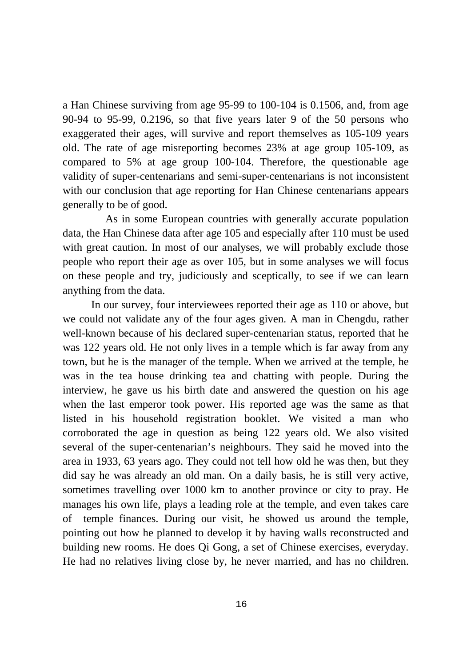a Han Chinese surviving from age 95-99 to 100-104 is 0.1506, and, from age 90-94 to 95-99, 0.2196, so that five years later 9 of the 50 persons who exaggerated their ages, will survive and report themselves as 105-109 years old. The rate of age misreporting becomes 23% at age group 105-109, as compared to 5% at age group 100-104. Therefore, the questionable age validity of super-centenarians and semi-super-centenarians is not inconsistent with our conclusion that age reporting for Han Chinese centenarians appears generally to be of good.

As in some European countries with generally accurate population data, the Han Chinese data after age 105 and especially after 110 must be used with great caution. In most of our analyses, we will probably exclude those people who report their age as over 105, but in some analyses we will focus on these people and try, judiciously and sceptically, to see if we can learn anything from the data.

In our survey, four interviewees reported their age as 110 or above, but we could not validate any of the four ages given. A man in Chengdu, rather well-known because of his declared super-centenarian status, reported that he was 122 years old. He not only lives in a temple which is far away from any town, but he is the manager of the temple. When we arrived at the temple, he was in the tea house drinking tea and chatting with people. During the interview, he gave us his birth date and answered the question on his age when the last emperor took power. His reported age was the same as that listed in his household registration booklet. We visited a man who corroborated the age in question as being 122 years old. We also visited several of the super-centenarian's neighbours. They said he moved into the area in 1933, 63 years ago. They could not tell how old he was then, but they did say he was already an old man. On a daily basis, he is still very active, sometimes travelling over 1000 km to another province or city to pray. He manages his own life, plays a leading role at the temple, and even takes care of temple finances. During our visit, he showed us around the temple, pointing out how he planned to develop it by having walls reconstructed and building new rooms. He does Qi Gong, a set of Chinese exercises, everyday. He had no relatives living close by, he never married, and has no children.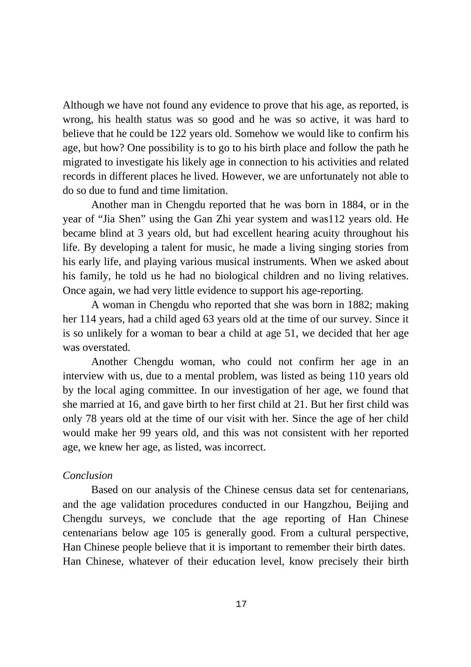Although we have not found any evidence to prove that his age, as reported, is wrong, his health status was so good and he was so active, it was hard to believe that he could be 122 years old. Somehow we would like to confirm his age, but how? One possibility is to go to his birth place and follow the path he migrated to investigate his likely age in connection to his activities and related records in different places he lived. However, we are unfortunately not able to do so due to fund and time limitation.

Another man in Chengdu reported that he was born in 1884, or in the year of "Jia Shen" using the Gan Zhi year system and was112 years old. He became blind at 3 years old, but had excellent hearing acuity throughout his life. By developing a talent for music, he made a living singing stories from his early life, and playing various musical instruments. When we asked about his family, he told us he had no biological children and no living relatives. Once again, we had very little evidence to support his age-reporting.

A woman in Chengdu who reported that she was born in 1882; making her 114 years, had a child aged 63 years old at the time of our survey. Since it is so unlikely for a woman to bear a child at age 51, we decided that her age was overstated.

Another Chengdu woman, who could not confirm her age in an interview with us, due to a mental problem, was listed as being 110 years old by the local aging committee. In our investigation of her age, we found that she married at 16, and gave birth to her first child at 21. But her first child was only 78 years old at the time of our visit with her. Since the age of her child would make her 99 years old, and this was not consistent with her reported age, we knew her age, as listed, was incorrect.

# *Conclusion*

Based on our analysis of the Chinese census data set for centenarians, and the age validation procedures conducted in our Hangzhou, Beijing and Chengdu surveys, we conclude that the age reporting of Han Chinese centenarians below age 105 is generally good. From a cultural perspective, Han Chinese people believe that it is important to remember their birth dates. Han Chinese, whatever of their education level, know precisely their birth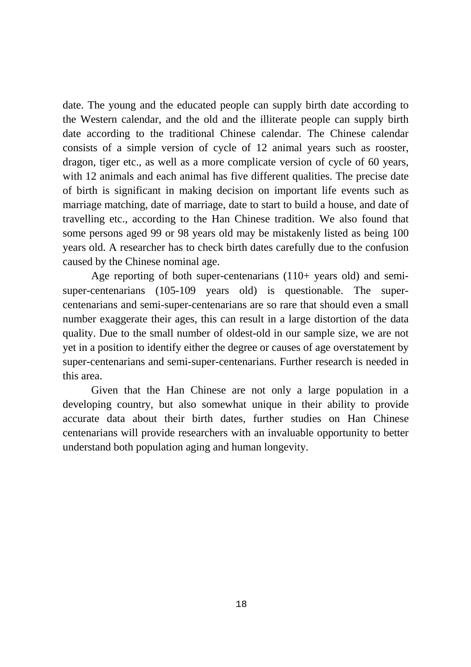date. The young and the educated people can supply birth date according to the Western calendar, and the old and the illiterate people can supply birth date according to the traditional Chinese calendar. The Chinese calendar consists of a simple version of cycle of 12 animal years such as rooster, dragon, tiger etc., as well as a more complicate version of cycle of 60 years, with 12 animals and each animal has five different qualities. The precise date of birth is significant in making decision on important life events such as marriage matching, date of marriage, date to start to build a house, and date of travelling etc., according to the Han Chinese tradition. We also found that some persons aged 99 or 98 years old may be mistakenly listed as being 100 years old. A researcher has to check birth dates carefully due to the confusion caused by the Chinese nominal age.

Age reporting of both super-centenarians (110+ years old) and semisuper-centenarians (105-109 years old) is questionable. The supercentenarians and semi-super-centenarians are so rare that should even a small number exaggerate their ages, this can result in a large distortion of the data quality. Due to the small number of oldest-old in our sample size, we are not yet in a position to identify either the degree or causes of age overstatement by super-centenarians and semi-super-centenarians. Further research is needed in this area.

Given that the Han Chinese are not only a large population in a developing country, but also somewhat unique in their ability to provide accurate data about their birth dates, further studies on Han Chinese centenarians will provide researchers with an invaluable opportunity to better understand both population aging and human longevity.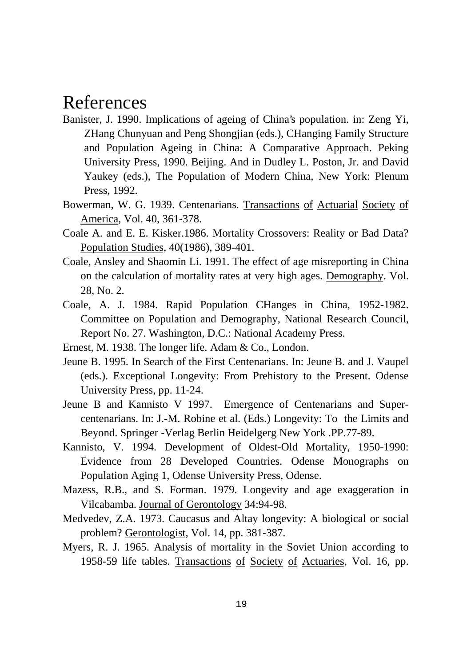# References

- Banister, J. 1990. Implications of ageing of China's population. in: Zeng Yi, ZHang Chunyuan and Peng Shongjian (eds.), CHanging Family Structure and Population Ageing in China: A Comparative Approach. Peking University Press, 1990. Beijing. And in Dudley L. Poston, Jr. and David Yaukey (eds.), The Population of Modern China, New York: Plenum Press, 1992.
- Bowerman, W. G. 1939. Centenarians. Transactions of Actuarial Society of America, Vol. 40, 361-378.
- Coale A. and E. E. Kisker.1986. Mortality Crossovers: Reality or Bad Data? Population Studies, 40(1986), 389-401.
- Coale, Ansley and Shaomin Li. 1991. The effect of age misreporting in China on the calculation of mortality rates at very high ages. Demography. Vol. 28, No. 2.
- Coale, A. J. 1984. Rapid Population CHanges in China, 1952-1982. Committee on Population and Demography, National Research Council, Report No. 27. Washington, D.C.: National Academy Press.
- Ernest, M. 1938. The longer life. Adam & Co., London.
- Jeune B. 1995. In Search of the First Centenarians. In: Jeune B. and J. Vaupel (eds.). Exceptional Longevity: From Prehistory to the Present. Odense University Press, pp. 11-24.
- Jeune B and Kannisto V 1997. Emergence of Centenarians and Supercentenarians. In: J.-M. Robine et al. (Eds.) Longevity: To the Limits and Beyond. Springer -Verlag Berlin Heidelgerg New York .PP.77-89.
- Kannisto, V. 1994. Development of Oldest-Old Mortality, 1950-1990: Evidence from 28 Developed Countries. Odense Monographs on Population Aging 1, Odense University Press, Odense.
- Mazess, R.B., and S. Forman. 1979. Longevity and age exaggeration in Vilcabamba. Journal of Gerontology 34:94-98.
- Medvedev, Z.A. 1973. Caucasus and Altay longevity: A biological or social problem? Gerontologist, Vol. 14, pp. 381-387.
- Myers, R. J. 1965. Analysis of mortality in the Soviet Union according to 1958-59 life tables. Transactions of Society of Actuaries, Vol. 16, pp.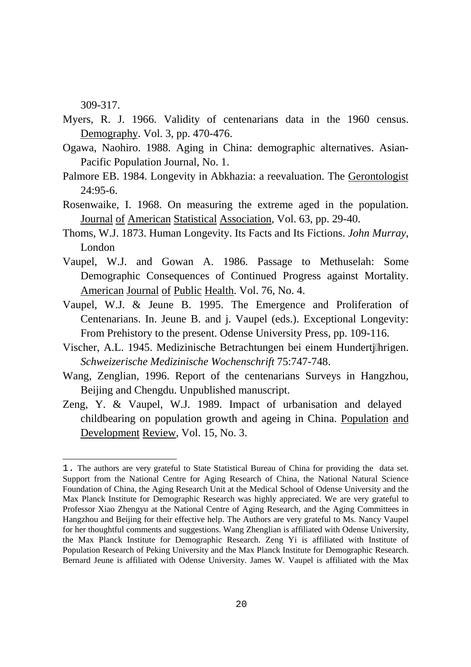309-317.

 $\overline{a}$ 

- Myers, R. J. 1966. Validity of centenarians data in the 1960 census. Demography. Vol. 3, pp. 470-476.
- Ogawa, Naohiro. 1988. Aging in China: demographic alternatives. Asian-Pacific Population Journal, No. 1.
- Palmore EB. 1984. Longevity in Abkhazia: a reevaluation. The Gerontologist 24:95-6.
- Rosenwaike, I. 1968. On measuring the extreme aged in the population. Journal of American Statistical Association, Vol. 63, pp. 29-40.
- Thoms, W.J. 1873. Human Longevity. Its Facts and Its Fictions. *John Murray*, London
- Vaupel, W.J. and Gowan A. 1986. Passage to Methuselah: Some Demographic Consequences of Continued Progress against Mortality. American Journal of Public Health. Vol. 76, No. 4.
- Vaupel, W.J. & Jeune B. 1995. The Emergence and Proliferation of Centenarians. In. Jeune B. and j. Vaupel (eds.). Exceptional Longevity: From Prehistory to the present. Odense University Press, pp. 109-116.
- Vischer, A.L. 1945. Medizinische Betrachtungen bei einem Hundertjhrigen. *Schweizerische Medizinische Wochenschrift* 75:747-748.
- Wang, Zenglian, 1996. Report of the centenarians Surveys in Hangzhou, Beijing and Chengdu. Unpublished manuscript.
- Zeng, Y. & Vaupel, W.J. 1989. Impact of urbanisation and delayed childbearing on population growth and ageing in China. Population and Development Review, Vol. 15, No. 3.

<sup>1.</sup> The authors are very grateful to State Statistical Bureau of China for providing the data set. Support from the National Centre for Aging Research of China, the National Natural Science Foundation of China, the Aging Research Unit at the Medical School of Odense University and the Max Planck Institute for Demographic Research was highly appreciated. We are very grateful to Professor Xiao Zhengyu at the National Centre of Aging Research, and the Aging Committees in Hangzhou and Beijing for their effective help. The Authors are very grateful to Ms. Nancy Vaupel for her thoughtful comments and suggestions. Wang Zhenglian is affiliated with Odense University, the Max Planck Institute for Demographic Research. Zeng Yi is affiliated with Institute of Population Research of Peking University and the Max Planck Institute for Demographic Research. Bernard Jeune is affiliated with Odense University. James W. Vaupel is affiliated with the Max